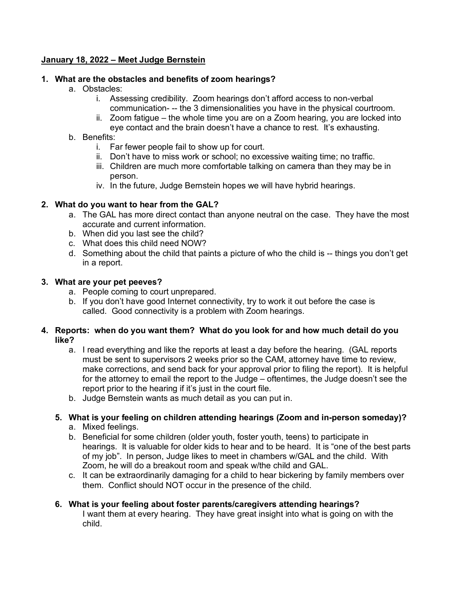#### **January 18, 2022 – Meet Judge Bernstein**

#### **1. What are the obstacles and benefits of zoom hearings?**

- a. Obstacles:
	- i. Assessing credibility. Zoom hearings don't afford access to non-verbal communication- -- the 3 dimensionalities you have in the physical courtroom.
	- ii. Zoom fatigue the whole time you are on a Zoom hearing, you are locked into eye contact and the brain doesn't have a chance to rest. It's exhausting.
- b. Benefits:
	- i. Far fewer people fail to show up for court.
	- ii. Don't have to miss work or school; no excessive waiting time; no traffic.
	- iii. Children are much more comfortable talking on camera than they may be in person.
	- iv. In the future, Judge Bernstein hopes we will have hybrid hearings.

## **2. What do you want to hear from the GAL?**

- a. The GAL has more direct contact than anyone neutral on the case. They have the most accurate and current information.
- b. When did you last see the child?
- c. What does this child need NOW?
- d. Something about the child that paints a picture of who the child is -- things you don't get in a report.

#### **3. What are your pet peeves?**

- a. People coming to court unprepared.
- b. If you don't have good Internet connectivity, try to work it out before the case is called. Good connectivity is a problem with Zoom hearings.

#### **4. Reports: when do you want them? What do you look for and how much detail do you like?**

- a. I read everything and like the reports at least a day before the hearing. (GAL reports must be sent to supervisors 2 weeks prior so the CAM, attorney have time to review, make corrections, and send back for your approval prior to filing the report). It is helpful for the attorney to email the report to the Judge – oftentimes, the Judge doesn't see the report prior to the hearing if it's just in the court file.
- b. Judge Bernstein wants as much detail as you can put in.

# **5. What is your feeling on children attending hearings (Zoom and in-person someday)?**

- a. Mixed feelings.
- b. Beneficial for some children (older youth, foster youth, teens) to participate in hearings. It is valuable for older kids to hear and to be heard. It is "one of the best parts of my job". In person, Judge likes to meet in chambers w/GAL and the child. With Zoom, he will do a breakout room and speak w/the child and GAL.
- c. It can be extraordinarily damaging for a child to hear bickering by family members over them. Conflict should NOT occur in the presence of the child.

#### **6. What is your feeling about foster parents/caregivers attending hearings?**

I want them at every hearing. They have great insight into what is going on with the child.